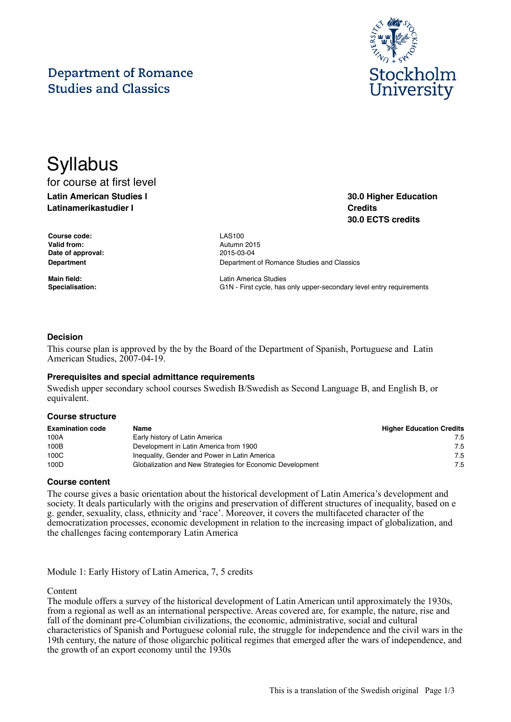## **Department of Romance Studies and Classics**



**30.0 Higher Education**

**30.0 ECTS credits**

**Credits**

# **Syllabus** for course at first level

## **Latin American Studies I Latinamerikastudier I**

**Course code:** LAS100 **Valid from:** Autumn 2015 **Date of approval:** 2015-03-04

**Department Department Department** of Romance Studies and Classics

**Main field:** Latin America Studies Specialisation: **G1N** - First cycle, has only upper-secondary level entry requirements

### **Decision**

This course plan is approved by the by the Board of the Department of Spanish, Portuguese and Latin American Studies, 2007-04-19.

#### **Prerequisites and special admittance requirements**

Swedish upper secondary school courses Swedish B/Swedish as Second Language B, and English B, or equivalent.

#### **Course structure**

| <b>Examination code</b> | Name                                                      | <b>Higher Education Credits</b> |
|-------------------------|-----------------------------------------------------------|---------------------------------|
| 100A                    | Early history of Latin America                            | 7.5                             |
| 100B                    | Development in Latin America from 1900                    | 7.5                             |
| 100C                    | Inequality, Gender and Power in Latin America             | 7.5                             |
| 100D                    | Globalization and New Strategies for Economic Development | 7.5                             |

#### **Course content**

The course gives a basic orientation about the historical development of Latin America's development and society. It deals particularly with the origins and preservation of different structures of inequality, based on e g. gender, sexuality, class, ethnicity and 'race'. Moreover, it covers the multifaceted character of the democratization processes, economic development in relation to the increasing impact of globalization, and the challenges facing contemporary Latin America

Module 1: Early History of Latin America, 7, 5 credits

#### Content

The module offers a survey of the historical development of Latin American until approximately the 1930s, from a regional as well as an international perspective. Areas covered are, for example, the nature, rise and fall of the dominant pre-Columbian civilizations, the economic, administrative, social and cultural characteristics of Spanish and Portuguese colonial rule, the struggle for independence and the civil wars in the 19th century, the nature of those oligarchic political regimes that emerged after the wars of independence, and the growth of an export economy until the 1930s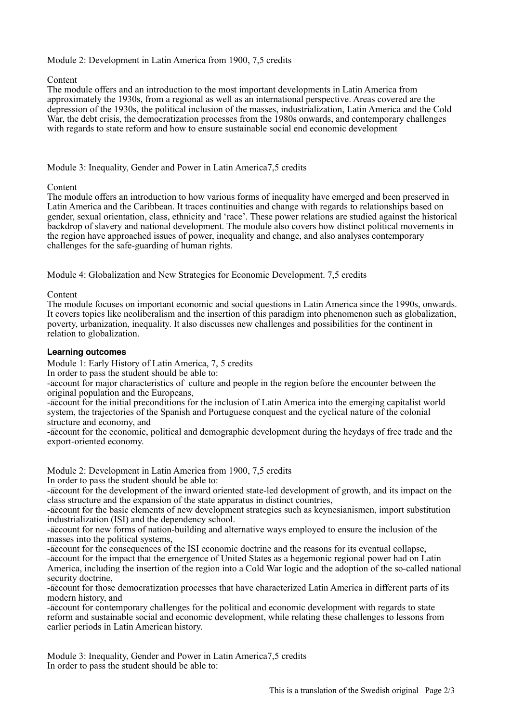## Module 2: Development in Latin America from 1900, 7,5 credits

### Content

The module offers and an introduction to the most important developments in Latin America from approximately the 1930s, from a regional as well as an international perspective. Areas covered are the depression of the 1930s, the political inclusion of the masses, industrialization, Latin America and the Cold War, the debt crisis, the democratization processes from the 1980s onwards, and contemporary challenges with regards to state reform and how to ensure sustainable social end economic development

## Module 3: Inequality, Gender and Power in Latin America7,5 credits

### Content

The module offers an introduction to how various forms of inequality have emerged and been preserved in Latin America and the Caribbean. It traces continuities and change with regards to relationships based on gender, sexual orientation, class, ethnicity and 'race'. These power relations are studied against the historical backdrop of slavery and national development. The module also covers how distinct political movements in the region have approached issues of power, inequality and change, and also analyses contemporary challenges for the safe-guarding of human rights.

Module 4: Globalization and New Strategies for Economic Development. 7,5 credits

Content

The module focuses on important economic and social questions in Latin America since the 1990s, onwards. It covers topics like neoliberalism and the insertion of this paradigm into phenomenon such as globalization, poverty, urbanization, inequality. It also discusses new challenges and possibilities for the continent in relation to globalization.

### **Learning outcomes**

Module 1: Early History of Latin America, 7, 5 credits

In order to pass the student should be able to:

-account for major characteristics of culture and people in the region before the encounter between the original population and the Europeans,

-account for the initial preconditions for the inclusion of Latin America into the emerging capitalist world system, the trajectories of the Spanish and Portuguese conquest and the cyclical nature of the colonial structure and economy, and

-account for the economic, political and demographic development during the heydays of free trade and the export-oriented economy.

Module 2: Development in Latin America from 1900, 7,5 credits

In order to pass the student should be able to:

-account for the development of the inward oriented state-led development of growth, and its impact on the class structure and the expansion of the state apparatus in distinct countries,

-account for the basic elements of new development strategies such as keynesianismen, import substitution industrialization (ISI) and the dependency school.

-account for new forms of nation-building and alternative ways employed to ensure the inclusion of the masses into the political systems,

-account for the consequences of the ISI economic doctrine and the reasons for its eventual collapse, -account for the impact that the emergence of United States as a hegemonic regional power had on Latin America, including the insertion of the region into a Cold War logic and the adoption of the so-called national security doctrine,

-account for those democratization processes that have characterized Latin America in different parts of its modern history, and

-account for contemporary challenges for the political and economic development with regards to state reform and sustainable social and economic development, while relating these challenges to lessons from earlier periods in Latin American history.

Module 3: Inequality, Gender and Power in Latin America7,5 credits In order to pass the student should be able to: